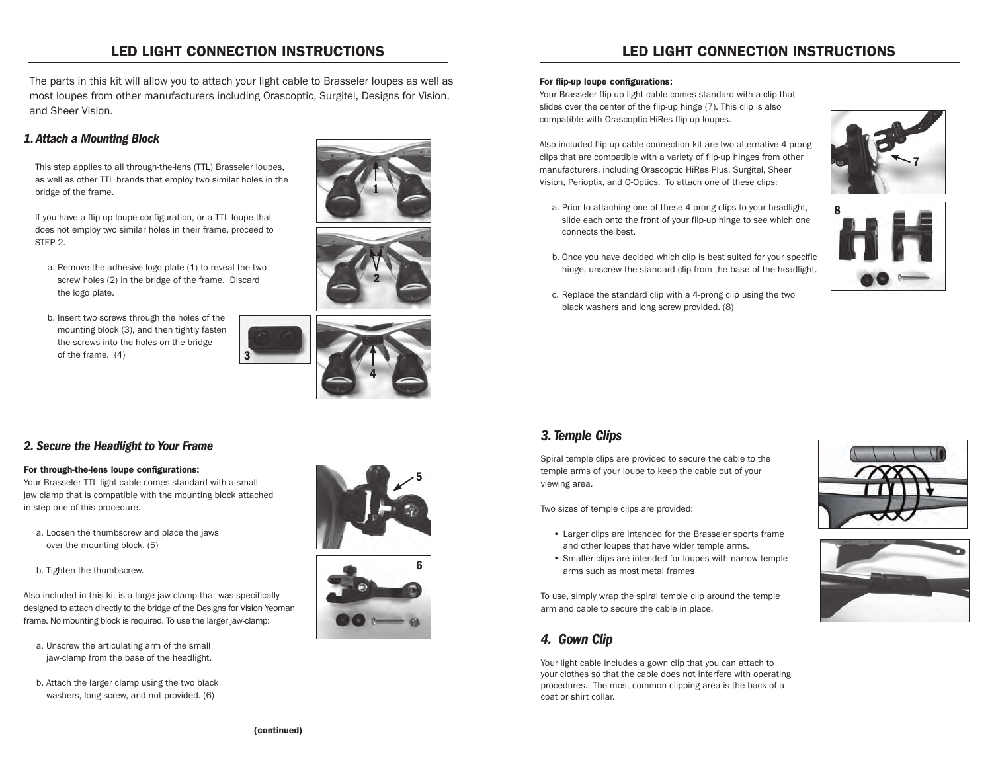# LED LIGHT CONNECTION INSTRUCTIONS

The parts in this kit will allow you to attach your light cable to Brasseler loupes as well as most loupes from other manufacturers including Orascoptic, Surgitel, Designs for Vision, and Sheer Vision.

3

#### *1. Attach a Mounting Block*

This step applies to all through-the-lens (TTL) Brasseler loupes, as well as other TTL brands that employ two similar holes in the bridge of the frame.

If you have a flip-up loupe configuration, or a TTL loupe that does not employ two similar holes in their frame, proceed to STEP 2.

- a. Remove the adhesive logo plate (1) to reveal the two screw holes (2) in the bridge of the frame. Discard the logo plate.
- b. Insert two screws through the holes of the mounting block (3), and then tightly fasten the screws into the holes on the bridge of the frame. (4)







#### *2. Secure the Headlight to Your Frame*

#### For through-the-lens loupe configurations:

Your Brasseler TTL light cable comes standard with a small jaw clamp that is compatible with the mounting block attached in step one of this procedure.

- a. Loosen the thumbscrew and place the jaws over the mounting block. (5)
- b. Tighten the thumbscrew.

Also included in this kit is a large jaw clamp that was specifically designed to attach directly to the bridge of the Designs for Vision Yeoman frame. No mounting block is required. To use the larger jaw-clamp:

- a. Unscrew the articulating arm of the small jaw-clamp from the base of the headlight.
- b. Attach the larger clamp using the two black washers, long screw, and nut provided. (6)





## LED LIGHT CONNECTION INSTRUCTIONS

#### For flip-up loupe configurations:

Your Brasseler flip-up light cable comes standard with a clip that slides over the center of the flip-up hinge (7). This clip is also compatible with Orascoptic HiRes flip-up loupes.

Also included flip-up cable connection kit are two alternative 4-prong clips that are compatible with a variety of flip-up hinges from other manufacturers, including Orascoptic HiRes Plus, Surgitel, Sheer Vision, Perioptix, and Q-Optics. To attach one of these clips:

- 7
- a. Prior to attaching one of these 4-prong clips to your headlight, slide each onto the front of your flip-up hinge to see which one connects the best.
- b. Once you have decided which clip is best suited for your specific hinge, unscrew the standard clip from the base of the headlight.
- c. Replace the standard clip with a 4-prong clip using the two black washers and long screw provided. (8)



### *3. Temple Clips*

Spiral temple clips are provided to secure the cable to the temple arms of your loupe to keep the cable out of your viewing area.

Two sizes of temple clips are provided:

- • Larger clips are intended for the Brasseler sports frame and other loupes that have wider temple arms.
- • Smaller clips are intended for loupes with narrow temple arms such as most metal frames

To use, simply wrap the spiral temple clip around the temple arm and cable to secure the cable in place.

### *4. Gown Clip*

Your light cable includes a gown clip that you can attach to your clothes so that the cable does not interfere with operating procedures. The most common clipping area is the back of a coat or shirt collar.